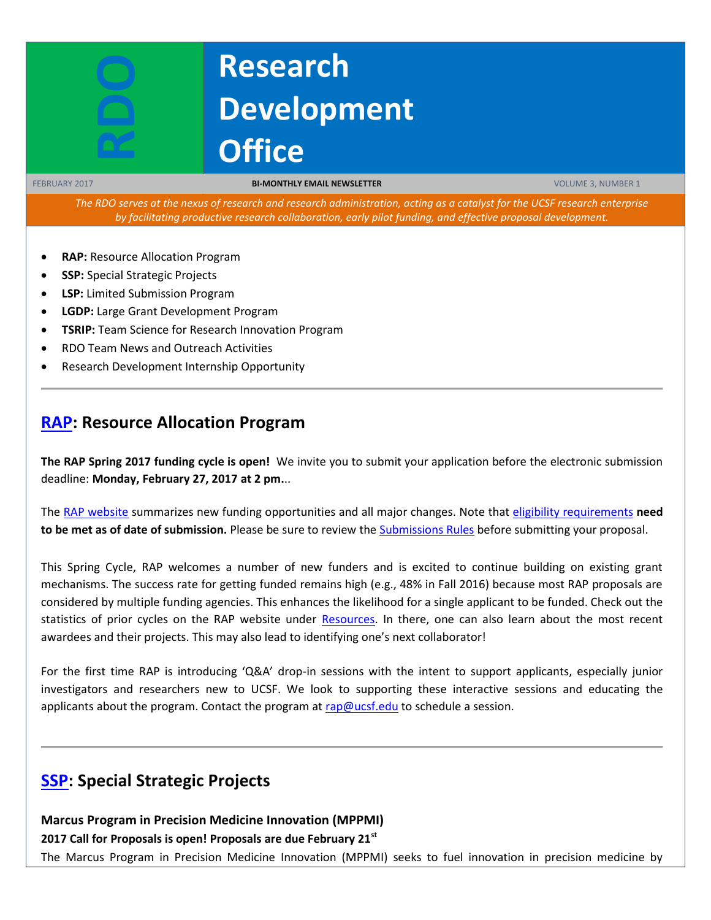# **Research Development Office**

FEBRUARY 2017 **BI-MONTHLY EMAIL NEWSLETTER** VOLUME 3, NUMBER 1

*The RDO serves at the nexus of research and research administration, acting as a catalyst for the UCSF research enterprise by facilitating productive research collaboration, early pilot funding, and effective proposal development.*

**RAP:** Resource Allocation Program

**RDO**

- **SSP:** Special Strategic Projects
- **LSP:** Limited Submission Program
- **LGDP:** Large Grant Development Program
- **TSRIP:** Team Science for Research Innovation Program
- RDO Team News and Outreach Activities
- Research Development Internship Opportunity

## **[RAP:](https://rap.ucsf.edu/) Resource Allocation Program**

**The RAP Spring 2017 funding cycle is open!** We invite you to submit your application before the electronic submission deadline: **Monday, February 27, 2017 at 2 pm.**..

The [RAP website](file:///C:/Users/gkiser/Desktop/rap.ucsf.edu) summarizes new funding opportunities and all major changes. Note that eligibility [requirements](http://rap.ucsf.edu/determine-eligibility-compare-grants) **need to be met as of date of submission.** Please be sure to review the [Submissions Rules](http://rap.ucsf.edu/submission-rules) before submitting your proposal.

This Spring Cycle, RAP welcomes a number of new funders and is excited to continue building on existing grant mechanisms. The success rate for getting funded remains high (e.g., 48% in Fall 2016) because most RAP proposals are considered by multiple funding agencies. This enhances the likelihood for a single applicant to be funded. Check out the statistics of prior cycles on the RAP website under [Resources.](http://rap.ucsf.edu/fall-2016-cycle) In there, one can also learn about the most recent awardees and their projects. This may also lead to identifying one's next collaborator!

For the first time RAP is introducing 'Q&A' drop-in sessions with the intent to support applicants, especially junior investigators and researchers new to UCSF. We look to supporting these interactive sessions and educating the applicants about the program. Contact the program at  $rap@ucsf.edu$  to schedule a session.

# **[SSP:](https://rap.ucsf.edu/) Special Strategic Projects**

**Marcus Program in Precision Medicine Innovation (MPPMI)**

**2017 Call for Proposals is open! Proposals are due February 21st**

The Marcus Program in Precision Medicine Innovation (MPPMI) seeks to fuel innovation in precision medicine by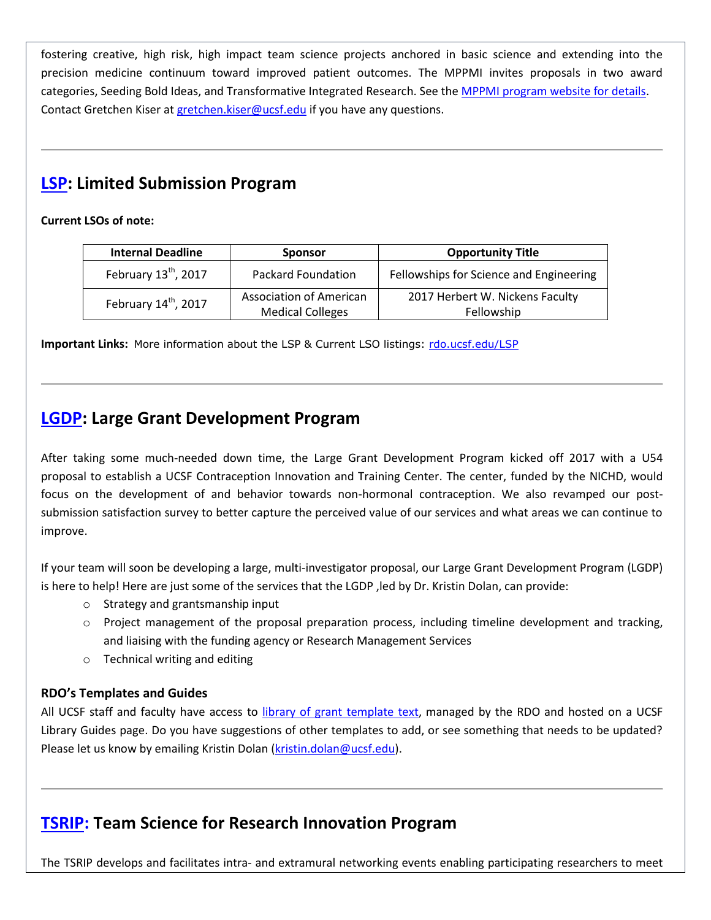fostering creative, high risk, high impact team science projects anchored in basic science and extending into the precision medicine continuum toward improved patient outcomes. The MPPMI invites proposals in two award categories, Seeding Bold Ideas, and Transformative Integrated Research. See the [MPPMI program website for details.](http://rdo.ucsf.edu/marcus-program-precision-medicine-innovation-2017-call-proposals-timelines) Contact Gretchen Kiser at [gretchen.kiser@ucsf.edu](mailto:gretchen.kiser@ucsf.edu) if you have any questions.

# **[LSP:](http://rdo.ucsf.edu/limited-submission-program-lsp) Limited Submission Program**

#### **Current LSOs of note:**

| <b>Internal Deadline</b>         | <b>Sponsor</b>                                     | <b>Opportunity Title</b>                      |
|----------------------------------|----------------------------------------------------|-----------------------------------------------|
| February 13 <sup>th</sup> , 2017 | Packard Foundation                                 | Fellowships for Science and Engineering       |
| February 14 <sup>th</sup> , 2017 | Association of American<br><b>Medical Colleges</b> | 2017 Herbert W. Nickens Faculty<br>Fellowship |

**Important Links:** More information about the LSP & Current LSO listings: [rdo.ucsf.edu/LSP](http://rdo.ucsf.edu/limited-submission-program-lsp)

# **[LGDP:](http://rdo.ucsf.edu/large-grant-development-program-lgdp) Large Grant Development Program**

After taking some much-needed down time, the Large Grant Development Program kicked off 2017 with a U54 proposal to establish a UCSF Contraception Innovation and Training Center. The center, funded by the NICHD, would focus on the development of and behavior towards non-hormonal contraception. We also revamped our postsubmission satisfaction survey to better capture the perceived value of our services and what areas we can continue to improve.

If your team will soon be developing a large, multi-investigator proposal, our Large Grant Development Program (LGDP) is here to help! Here are just some of the services that the LGDP ,led by Dr. Kristin Dolan, can provide:

- o Strategy and grantsmanship input
- $\circ$  Project management of the proposal preparation process, including timeline development and tracking, and liaising with the funding agency or Research Management Services
- o Technical writing and editing

### **RDO's Templates and Guides**

All UCSF staff and faculty have access to [library of grant template text,](http://guides.ucsf.edu/rdo) managed by the RDO and hosted on a UCSF Library Guides page. Do you have suggestions of other templates to add, or see something that needs to be updated? Please let us know by emailing Kristin Dolan [\(kristin.dolan@ucsf.edu\)](mailto:kristin.dolan@ucsf.edu).

# **[TSRIP:](http://rdo.ucsf.edu/team-science-research-innovation-program-tsrip) Team Science for Research Innovation Program**

The TSRIP develops and facilitates intra- and extramural networking events enabling participating researchers to meet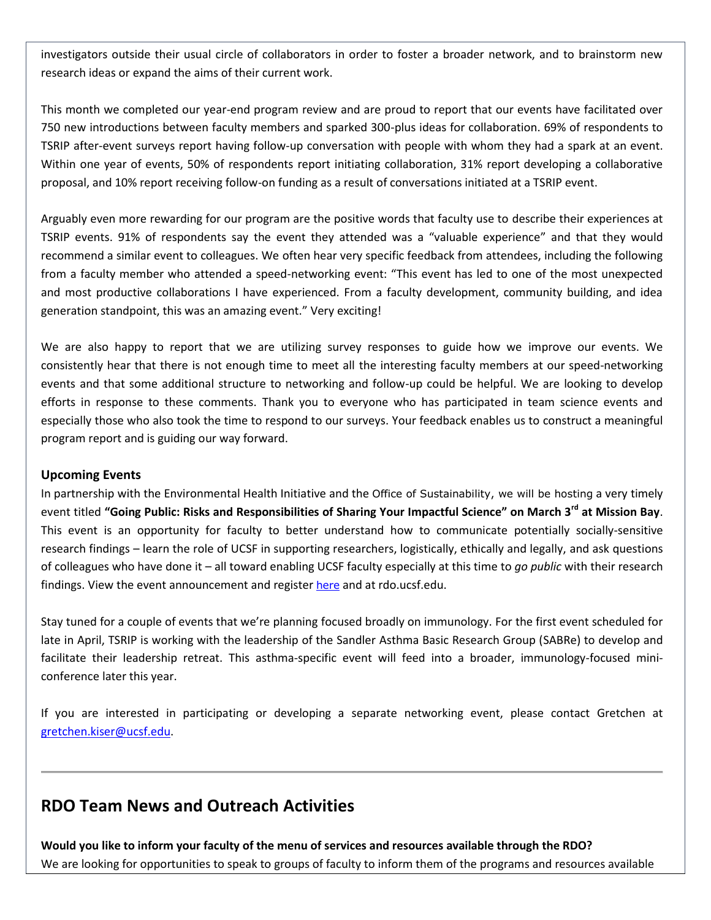investigators outside their usual circle of collaborators in order to foster a broader network, and to brainstorm new research ideas or expand the aims of their current work.

This month we completed our year-end program review and are proud to report that our events have facilitated over 750 new introductions between faculty members and sparked 300-plus ideas for collaboration. 69% of respondents to TSRIP after-event surveys report having follow-up conversation with people with whom they had a spark at an event. Within one year of events, 50% of respondents report initiating collaboration, 31% report developing a collaborative proposal, and 10% report receiving follow-on funding as a result of conversations initiated at a TSRIP event.

Arguably even more rewarding for our program are the positive words that faculty use to describe their experiences at TSRIP events. 91% of respondents say the event they attended was a "valuable experience" and that they would recommend a similar event to colleagues. We often hear very specific feedback from attendees, including the following from a faculty member who attended a speed-networking event: "This event has led to one of the most unexpected and most productive collaborations I have experienced. From a faculty development, community building, and idea generation standpoint, this was an amazing event." Very exciting!

We are also happy to report that we are utilizing survey responses to guide how we improve our events. We consistently hear that there is not enough time to meet all the interesting faculty members at our speed-networking events and that some additional structure to networking and follow-up could be helpful. We are looking to develop efforts in response to these comments. Thank you to everyone who has participated in team science events and especially those who also took the time to respond to our surveys. Your feedback enables us to construct a meaningful program report and is guiding our way forward.

#### **Upcoming Events**

In partnership with the Environmental Health Initiative and the Office of Sustainability, we will be hosting a very timely event titled **"Going Public: Risks and Responsibilities of Sharing Your Impactful Science" on March 3rd at Mission Bay**. This event is an opportunity for faculty to better understand how to communicate potentially socially-sensitive research findings – learn the role of UCSF in supporting researchers, logistically, ethically and legally, and ask questions of colleagues who have done it – all toward enabling UCSF faculty especially at this time to *go public* with their research findings. View the event announcement and register [here](http://rdo.ucsf.edu/sites/rdo.ucsf.edu/files/EHI%20event%20flyer%20March%203%202017_new.pdf) and at rdo.ucsf.edu.

Stay tuned for a couple of events that we're planning focused broadly on immunology. For the first event scheduled for late in April, TSRIP is working with the leadership of the Sandler Asthma Basic Research Group (SABRe) to develop and facilitate their leadership retreat. This asthma-specific event will feed into a broader, immunology-focused miniconference later this year.

If you are interested in participating or developing a separate networking event, please contact Gretchen at [gretchen.kiser@ucsf.edu.](mailto:gretchen.kiser@ucsf.edu)

# **RDO Team News and Outreach Activities**

**Would you like to inform your faculty of the menu of services and resources available through the RDO?** We are looking for opportunities to speak to groups of faculty to inform them of the programs and resources available